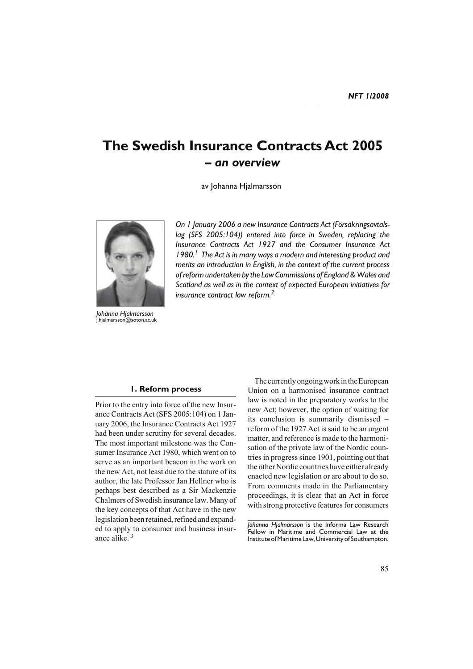# **The Swedish Insurance Contracts Act 2005** *– an overview*

av Johanna Hjalmarsson



*Johanna Hjalmarsson* j.hjalmarsson@soton.ac.uk

*On 1 January 2006 a new Insurance Contracts Act (Försäkringsavtalslag (SFS 2005:104)) entered into force in Sweden, replacing the Insurance Contracts Act 1927 and the Consumer Insurance Act 1980.1 The Act is in many ways a modern and interesting product and merits an introduction in English, in the context of the current process of reform undertaken by the Law Commissions of England & Wales and Scotland as well as in the context of expected European initiatives for insurance contract law reform.2*

#### **1. Reform process**

Prior to the entry into force of the new Insurance Contracts Act (SFS 2005:104) on 1 January 2006, the Insurance Contracts Act 1927 had been under scrutiny for several decades. The most important milestone was the Consumer Insurance Act 1980, which went on to serve as an important beacon in the work on the new Act, not least due to the stature of its author, the late Professor Jan Hellner who is perhaps best described as a Sir Mackenzie Chalmers of Swedish insurance law. Many of the key concepts of that Act have in the new legislation been retained, refined and expanded to apply to consumer and business insurance alike. 3

The currently ongoing work in the European Union on a harmonised insurance contract law is noted in the preparatory works to the new Act; however, the option of waiting for its conclusion is summarily dismissed – reform of the 1927 Act is said to be an urgent matter, and reference is made to the harmonisation of the private law of the Nordic countries in progress since 1901, pointing out that the other Nordic countries have either already enacted new legislation or are about to do so. From comments made in the Parliamentary proceedings, it is clear that an Act in force with strong protective features for consumers

*Johanna Hjalmarsson* is the Informa Law Research Fellow in Maritime and Commercial Law at the Institute of Maritime Law, University of Southampton.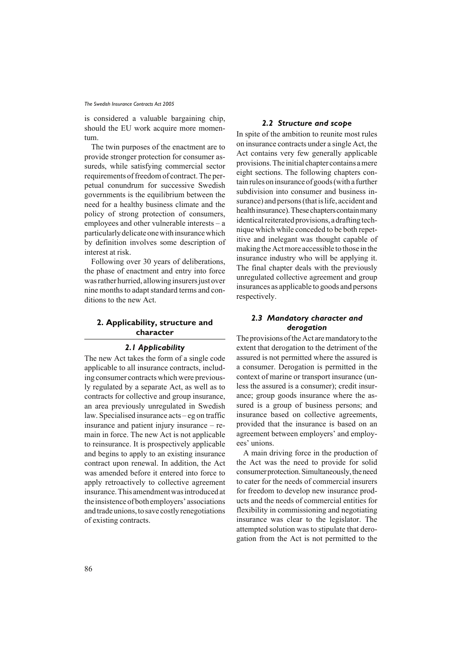is considered a valuable bargaining chip, should the EU work acquire more momentum.

The twin purposes of the enactment are to provide stronger protection for consumer assureds, while satisfying commercial sector requirements of freedom of contract. The perpetual conundrum for successive Swedish governments is the equilibrium between the need for a healthy business climate and the policy of strong protection of consumers, employees and other vulnerable interests – a particularly delicate one with insurance which by definition involves some description of interest at risk.

Following over 30 years of deliberations, the phase of enactment and entry into force was rather hurried, allowing insurers just over nine months to adapt standard terms and conditions to the new Act.

## **2. Applicability, structure and character**

## *2.1 Applicability*

The new Act takes the form of a single code applicable to all insurance contracts, including consumer contracts which were previously regulated by a separate Act, as well as to contracts for collective and group insurance, an area previously unregulated in Swedish law. Specialised insurance acts – eg on traffic insurance and patient injury insurance – remain in force. The new Act is not applicable to reinsurance. It is prospectively applicable and begins to apply to an existing insurance contract upon renewal. In addition, the Act was amended before it entered into force to apply retroactively to collective agreement insurance. This amendment was introduced at the insistence of both employers' associations and trade unions, to save costly renegotiations of existing contracts.

## *2.2 Structure and scope*

In spite of the ambition to reunite most rules on insurance contracts under a single Act, the Act contains very few generally applicable provisions. The initial chapter contains a mere eight sections. The following chapters contain rules on insurance of goods (with a further subdivision into consumer and business insurance) and persons (that is life, accident and health insurance). These chapters contain many identical reiterated provisions, a drafting technique which while conceded to be both repetitive and inelegant was thought capable of making the Act more accessible to those in the insurance industry who will be applying it. The final chapter deals with the previously unregulated collective agreement and group insurances as applicable to goods and persons respectively.

# *2.3 Mandatory character and derogation*

The provisions of the Act are mandatory to the extent that derogation to the detriment of the assured is not permitted where the assured is a consumer. Derogation is permitted in the context of marine or transport insurance (unless the assured is a consumer); credit insurance; group goods insurance where the assured is a group of business persons; and insurance based on collective agreements, provided that the insurance is based on an agreement between employers' and employees' unions.

A main driving force in the production of the Act was the need to provide for solid consumer protection. Simultaneously, the need to cater for the needs of commercial insurers for freedom to develop new insurance products and the needs of commercial entities for flexibility in commissioning and negotiating insurance was clear to the legislator. The attempted solution was to stipulate that derogation from the Act is not permitted to the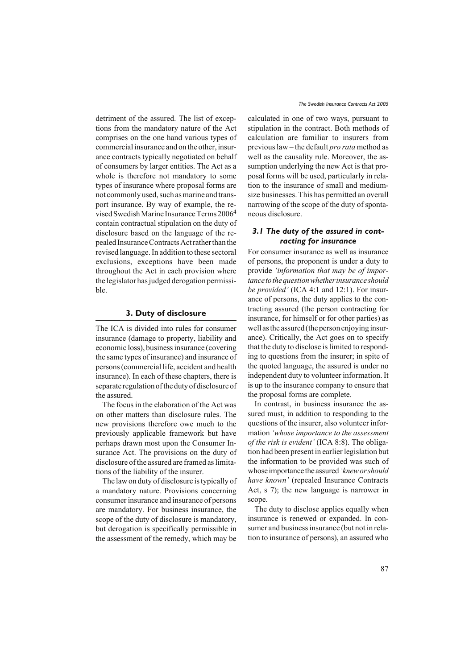detriment of the assured. The list of exceptions from the mandatory nature of the Act comprises on the one hand various types of commercial insurance and on the other, insurance contracts typically negotiated on behalf of consumers by larger entities. The Act as a whole is therefore not mandatory to some types of insurance where proposal forms are not commonly used, such as marine and transport insurance. By way of example, the revised Swedish Marine Insurance Terms 2006<sup>4</sup> contain contractual stipulation on the duty of disclosure based on the language of the repealed Insurance Contracts Act rather than the revised language. In addition to these sectoral exclusions, exceptions have been made throughout the Act in each provision where the legislator has judged derogation permissible.

## **3. Duty of disclosure**

The ICA is divided into rules for consumer insurance (damage to property, liability and economic loss), business insurance (covering the same types of insurance) and insurance of persons (commercial life, accident and health insurance). In each of these chapters, there is separate regulation of the duty of disclosure of the assured.

The focus in the elaboration of the Act was on other matters than disclosure rules. The new provisions therefore owe much to the previously applicable framework but have perhaps drawn most upon the Consumer Insurance Act. The provisions on the duty of disclosure of the assured are framed as limitations of the liability of the insurer.

The law on duty of disclosure is typically of a mandatory nature. Provisions concerning consumer insurance and insurance of persons are mandatory. For business insurance, the scope of the duty of disclosure is mandatory, but derogation is specifically permissible in the assessment of the remedy, which may be

calculated in one of two ways, pursuant to stipulation in the contract. Both methods of calculation are familiar to insurers from previous law – the default *pro rata* method as well as the causality rule. Moreover, the assumption underlying the new Act is that proposal forms will be used, particularly in relation to the insurance of small and mediumsize businesses. This has permitted an overall narrowing of the scope of the duty of spontaneous disclosure.

# *3.1 The duty of the assured in contracting for insurance*

For consumer insurance as well as insurance of persons, the proponent is under a duty to provide *'information that may be of importance to the question whether insurance should be provided'* (ICA 4:1 and 12:1). For insurance of persons, the duty applies to the contracting assured (the person contracting for insurance, for himself or for other parties) as well as the assured (the person enjoying insurance). Critically, the Act goes on to specify that the duty to disclose is limited to responding to questions from the insurer; in spite of the quoted language, the assured is under no independent duty to volunteer information. It is up to the insurance company to ensure that the proposal forms are complete.

In contrast, in business insurance the assured must, in addition to responding to the questions of the insurer, also volunteer information *'whose importance to the assessment of the risk is evident'* (ICA 8:8). The obligation had been present in earlier legislation but the information to be provided was such of whose importance the assured *'knew or should have known'* (repealed Insurance Contracts Act, s 7); the new language is narrower in scope.

The duty to disclose applies equally when insurance is renewed or expanded. In consumer and business insurance (but not in relation to insurance of persons), an assured who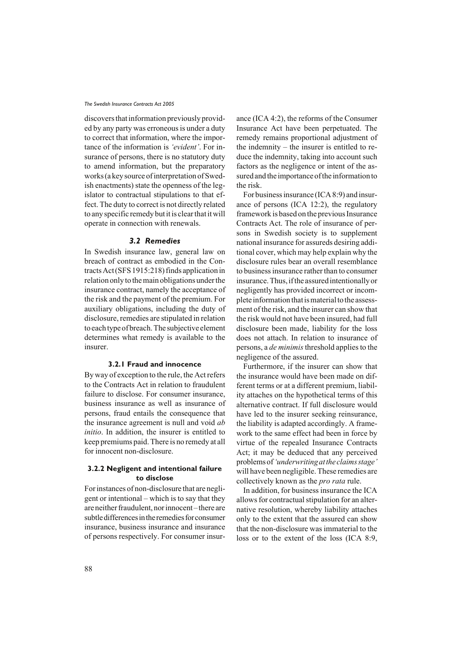discovers that information previously provided by any party was erroneous is under a duty to correct that information, where the importance of the information is *'evident'*. For insurance of persons, there is no statutory duty to amend information, but the preparatory works (a key source of interpretation of Swedish enactments) state the openness of the legislator to contractual stipulations to that effect. The duty to correct is not directly related to any specific remedy but it is clear that it will operate in connection with renewals.

## *3.2 Remedies*

In Swedish insurance law, general law on breach of contract as embodied in the Contracts Act (SFS 1915:218) finds application in relation only to the main obligations under the insurance contract, namely the acceptance of the risk and the payment of the premium. For auxiliary obligations, including the duty of disclosure, remedies are stipulated in relation to each type of breach. The subjective element determines what remedy is available to the insurer.

## **3.2.1 Fraud and innocence**

By way of exception to the rule, the Act refers to the Contracts Act in relation to fraudulent failure to disclose. For consumer insurance, business insurance as well as insurance of persons, fraud entails the consequence that the insurance agreement is null and void *ab initio*. In addition, the insurer is entitled to keep premiums paid. There is no remedy at all for innocent non-disclosure.

## **3.2.2 Negligent and intentional failure to disclose**

For instances of non-disclosure that are negligent or intentional – which is to say that they are neither fraudulent, nor innocent – there are subtle differences in the remedies for consumer insurance, business insurance and insurance of persons respectively. For consumer insurance (ICA 4:2), the reforms of the Consumer Insurance Act have been perpetuated. The remedy remains proportional adjustment of the indemnity – the insurer is entitled to reduce the indemnity, taking into account such factors as the negligence or intent of the assured and the importance of the information to the risk.

For business insurance (ICA 8:9) and insurance of persons (ICA 12:2), the regulatory framework is based on the previous Insurance Contracts Act. The role of insurance of persons in Swedish society is to supplement national insurance for assureds desiring additional cover, which may help explain why the disclosure rules bear an overall resemblance to business insurance rather than to consumer insurance. Thus, if the assured intentionally or negligently has provided incorrect or incomplete information that is material to the assessment of the risk, and the insurer can show that the risk would not have been insured, had full disclosure been made, liability for the loss does not attach. In relation to insurance of persons, a *de minimis* threshold applies to the negligence of the assured.

Furthermore, if the insurer can show that the insurance would have been made on different terms or at a different premium, liability attaches on the hypothetical terms of this alternative contract. If full disclosure would have led to the insurer seeking reinsurance, the liability is adapted accordingly. A framework to the same effect had been in force by virtue of the repealed Insurance Contracts Act; it may be deduced that any perceived problems of *'underwriting at the claims stage'* will have been negligible. These remedies are collectively known as the *pro rata* rule.

In addition, for business insurance the ICA allows for contractual stipulation for an alternative resolution, whereby liability attaches only to the extent that the assured can show that the non-disclosure was immaterial to the loss or to the extent of the loss (ICA 8:9,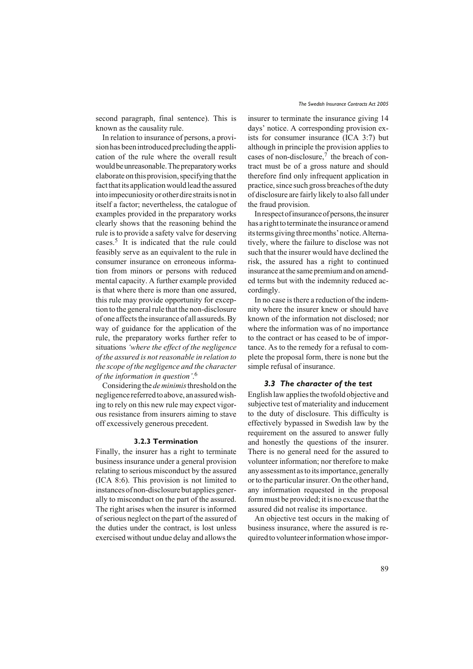second paragraph, final sentence). This is known as the causality rule.

In relation to insurance of persons, a provision has been introduced precluding the application of the rule where the overall result would be unreasonable. The preparatory works elaborate on this provision, specifying that the fact that its application would lead the assured into impecuniosity or other dire straits is not in itself a factor; nevertheless, the catalogue of examples provided in the preparatory works clearly shows that the reasoning behind the rule is to provide a safety valve for deserving cases.5 It is indicated that the rule could feasibly serve as an equivalent to the rule in consumer insurance on erroneous information from minors or persons with reduced mental capacity. A further example provided is that where there is more than one assured, this rule may provide opportunity for exception to the general rule that the non-disclosure of one affects the insurance of all assureds. By way of guidance for the application of the rule, the preparatory works further refer to situations *'where the effect of the negligence of the assured is not reasonable in relation to the scope of the negligence and the character of the information in question'*. 6

Considering the *de minimis* threshold on the negligence referred to above, an assured wishing to rely on this new rule may expect vigorous resistance from insurers aiming to stave off excessively generous precedent.

#### **3.2.3 Termination**

Finally, the insurer has a right to terminate business insurance under a general provision relating to serious misconduct by the assured (ICA 8:6). This provision is not limited to instances of non-disclosure but applies generally to misconduct on the part of the assured. The right arises when the insurer is informed of serious neglect on the part of the assured of the duties under the contract, is lost unless exercised without undue delay and allows the

insurer to terminate the insurance giving 14 days' notice. A corresponding provision exists for consumer insurance (ICA 3:7) but although in principle the provision applies to cases of non-disclosure, $\frac{7}{1}$  the breach of contract must be of a gross nature and should therefore find only infrequent application in practice, since such gross breaches of the duty of disclosure are fairly likely to also fall under the fraud provision.

In respect of insurance of persons, the insurer has a right to terminate the insurance or amend its terms giving three months' notice. Alternatively, where the failure to disclose was not such that the insurer would have declined the risk, the assured has a right to continued insurance at the same premium and on amended terms but with the indemnity reduced accordingly.

In no case is there a reduction of the indemnity where the insurer knew or should have known of the information not disclosed; nor where the information was of no importance to the contract or has ceased to be of importance. As to the remedy for a refusal to complete the proposal form, there is none but the simple refusal of insurance.

#### *3.3 The character of the test*

English law applies the twofold objective and subjective test of materiality and inducement to the duty of disclosure. This difficulty is effectively bypassed in Swedish law by the requirement on the assured to answer fully and honestly the questions of the insurer. There is no general need for the assured to volunteer information; nor therefore to make any assessment as to its importance, generally or to the particular insurer. On the other hand, any information requested in the proposal form must be provided; it is no excuse that the assured did not realise its importance.

An objective test occurs in the making of business insurance, where the assured is required to volunteer information whose impor-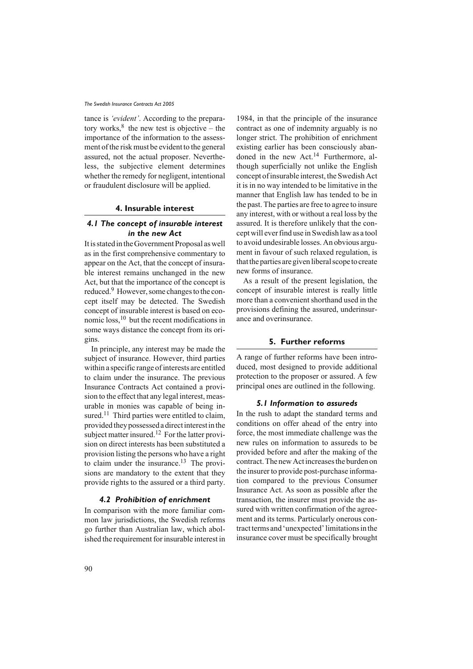tance is *'evident'*. According to the preparatory works, $8$  the new test is objective – the importance of the information to the assessment of the risk must be evident to the general assured, not the actual proposer. Nevertheless, the subjective element determines whether the remedy for negligent, intentional or fraudulent disclosure will be applied.

## **4. Insurable interest**

# *4.1 The concept of insurable interest in the new Act*

It is stated in the Government Proposal as well as in the first comprehensive commentary to appear on the Act, that the concept of insurable interest remains unchanged in the new Act, but that the importance of the concept is reduced.9 However, some changes to the concept itself may be detected. The Swedish concept of insurable interest is based on economic loss,10 but the recent modifications in some ways distance the concept from its origins.

In principle, any interest may be made the subject of insurance. However, third parties within a specific range of interests are entitled to claim under the insurance. The previous Insurance Contracts Act contained a provision to the effect that any legal interest, measurable in monies was capable of being insured.<sup>11</sup> Third parties were entitled to claim, provided they possessed a direct interest in the subject matter insured.<sup>12</sup> For the latter provision on direct interests has been substituted a provision listing the persons who have a right to claim under the insurance.<sup>13</sup> The provisions are mandatory to the extent that they provide rights to the assured or a third party.

## *4.2 Prohibition of enrichment*

In comparison with the more familiar common law jurisdictions, the Swedish reforms go further than Australian law, which abolished the requirement for insurable interest in 1984, in that the principle of the insurance contract as one of indemnity arguably is no longer strict. The prohibition of enrichment existing earlier has been consciously abandoned in the new Act.<sup>14</sup> Furthermore, although superficially not unlike the English concept of insurable interest, the Swedish Act it is in no way intended to be limitative in the manner that English law has tended to be in the past. The parties are free to agree to insure any interest, with or without a real loss by the assured. It is therefore unlikely that the concept will ever find use in Swedish law as a tool to avoid undesirable losses. An obvious argument in favour of such relaxed regulation, is that the parties are given liberal scope to create new forms of insurance.

As a result of the present legislation, the concept of insurable interest is really little more than a convenient shorthand used in the provisions defining the assured, underinsurance and overinsurance.

### **5. Further reforms**

A range of further reforms have been introduced, most designed to provide additional protection to the proposer or assured. A few principal ones are outlined in the following.

#### *5.1 Information to assureds*

In the rush to adapt the standard terms and conditions on offer ahead of the entry into force, the most immediate challenge was the new rules on information to assureds to be provided before and after the making of the contract. The new Act increases the burden on the insurer to provide post-purchase information compared to the previous Consumer Insurance Act. As soon as possible after the transaction, the insurer must provide the assured with written confirmation of the agreement and its terms. Particularly onerous contract terms and 'unexpected' limitations in the insurance cover must be specifically brought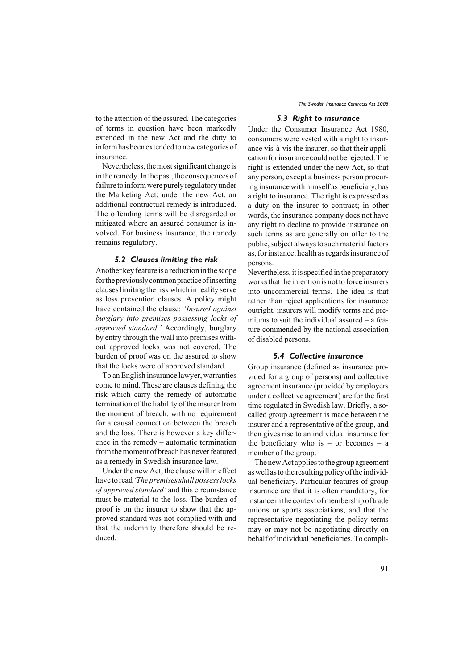to the attention of the assured. The categories of terms in question have been markedly extended in the new Act and the duty to inform has been extended to new categories of insurance.

Nevertheless, the most significant change is in the remedy. In the past, the consequences of failure to inform were purely regulatory under the Marketing Act; under the new Act, an additional contractual remedy is introduced. The offending terms will be disregarded or mitigated where an assured consumer is involved. For business insurance, the remedy remains regulatory.

## *5.2 Clauses limiting the risk*

Another key feature is a reduction in the scope for the previously common practice of inserting clauses limiting the risk which in reality serve as loss prevention clauses. A policy might have contained the clause: *'Insured against burglary into premises possessing locks of approved standard.'* Accordingly, burglary by entry through the wall into premises without approved locks was not covered. The burden of proof was on the assured to show that the locks were of approved standard.

To an English insurance lawyer, warranties come to mind. These are clauses defining the risk which carry the remedy of automatic termination of the liability of the insurer from the moment of breach, with no requirement for a causal connection between the breach and the loss*.* There is however a key difference in the remedy – automatic termination from the moment of breach has never featured as a remedy in Swedish insurance law.

Under the new Act, the clause will in effect have to read *'The premises shall possess locks of approved standard'* and this circumstance must be material to the loss. The burden of proof is on the insurer to show that the approved standard was not complied with and that the indemnity therefore should be reduced.

## *5.3 Right to insurance*

Under the Consumer Insurance Act 1980, consumers were vested with a right to insurance vis-à-vis the insurer, so that their application for insurance could not be rejected. The right is extended under the new Act, so that any person, except a business person procuring insurance with himself as beneficiary, has a right to insurance. The right is expressed as a duty on the insurer to contract; in other words, the insurance company does not have any right to decline to provide insurance on such terms as are generally on offer to the public, subject always to such material factors as, for instance, health as regards insurance of persons.

Nevertheless, it is specified in the preparatory works that the intention is not to force insurers into uncommercial terms. The idea is that rather than reject applications for insurance outright, insurers will modify terms and premiums to suit the individual assured – a feature commended by the national association of disabled persons.

#### *5.4 Collective insurance*

Group insurance (defined as insurance provided for a group of persons) and collective agreement insurance (provided by employers under a collective agreement) are for the first time regulated in Swedish law. Briefly, a socalled group agreement is made between the insurer and a representative of the group, and then gives rise to an individual insurance for the beneficiary who is – or becomes – a member of the group.

The new Act applies to the group agreement as well as to the resulting policy of the individual beneficiary. Particular features of group insurance are that it is often mandatory, for instance in the context of membership of trade unions or sports associations, and that the representative negotiating the policy terms may or may not be negotiating directly on behalf of individual beneficiaries. To compli-